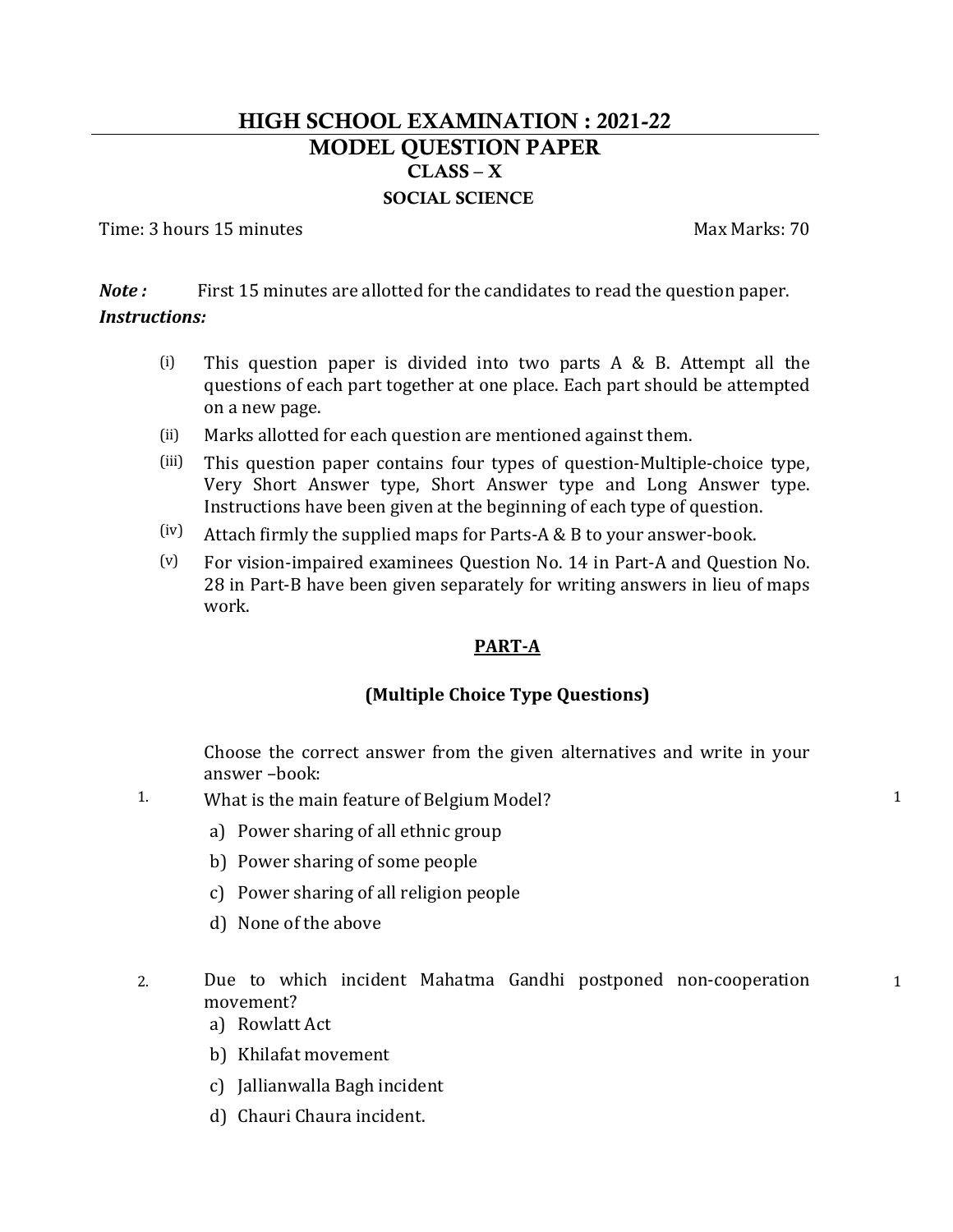### HIGH SCHOOL EXAMINATION : 2021-22 MODEL QUESTION PAPER CLASS – X SOCIAL SCIENCE

Time: 3 hours 15 minutes and the May Max Marks: 70

1

**Note :** First 15 minutes are allotted for the candidates to read the question paper. Instructions:

- (i) This question paper is divided into two parts A & B. Attempt all the questions of each part together at one place. Each part should be attempted on a new page.
- (ii) Marks allotted for each question are mentioned against them.
- (iii) This question paper contains four types of question-Multiple-choice type, Very Short Answer type, Short Answer type and Long Answer type. Instructions have been given at the beginning of each type of question.
- $(iv)$  Attach firmly the supplied maps for Parts-A & B to your answer-book.
- (v) For vision-impaired examinees Question No. 14 in Part-A and Question No. 28 in Part-B have been given separately for writing answers in lieu of maps work.

#### PART-A

#### (Multiple Choice Type Questions)

Choose the correct answer from the given alternatives and write in your answer –book:

- 1. What is the main feature of Belgium Model?
	- a) Power sharing of all ethnic group
	- b) Power sharing of some people
	- c) Power sharing of all religion people
	- d) None of the above
- 2. Due to which incident Mahatma Gandhi postponed non-cooperation movement?
	- a) Rowlatt Act
	- b) Khilafat movement
	- c) Jallianwalla Bagh incident
	- d) Chauri Chaura incident.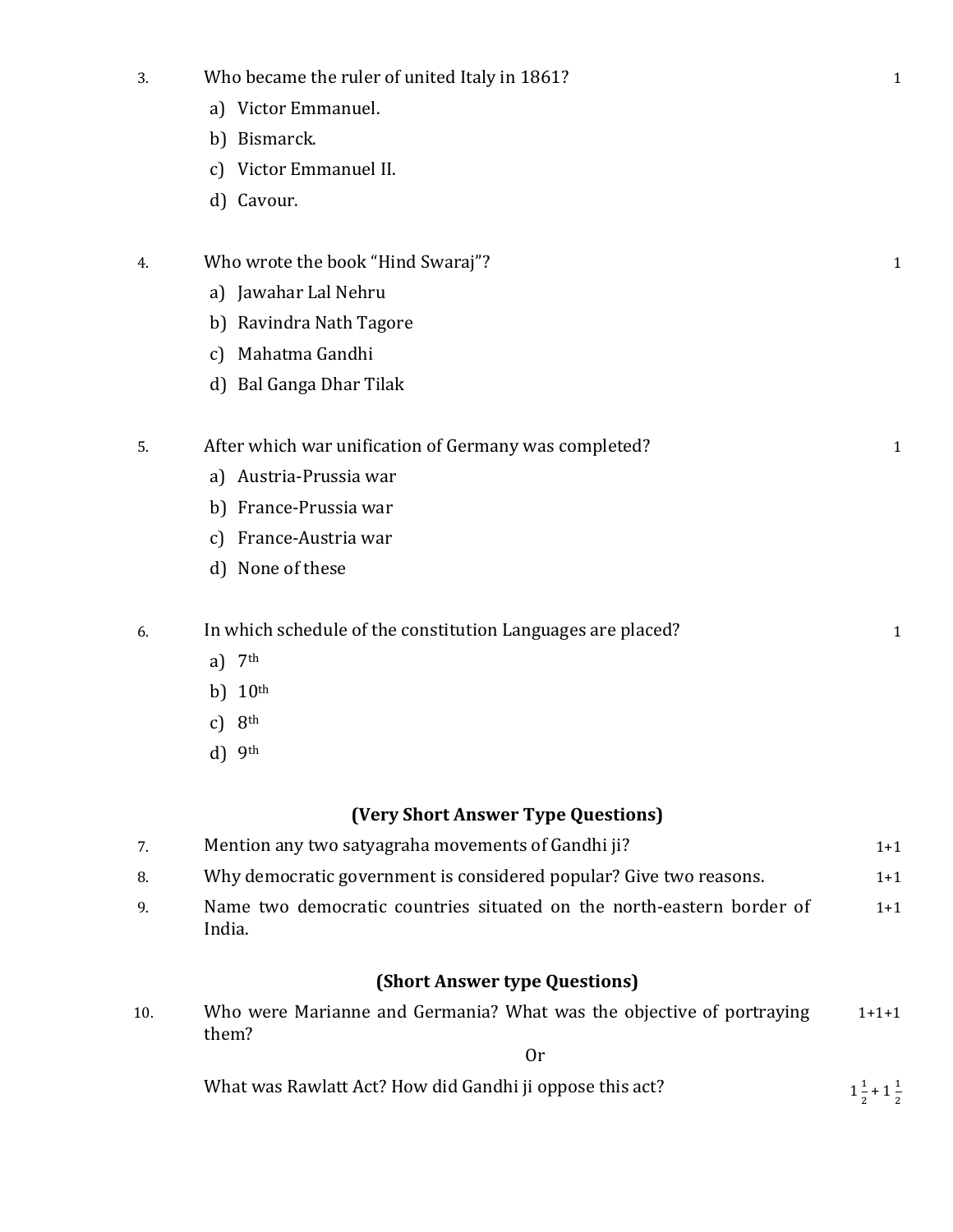| 3. | Who became the ruler of united Italy in 1861?                                   | 1            |
|----|---------------------------------------------------------------------------------|--------------|
|    | a) Victor Emmanuel.                                                             |              |
|    | b) Bismarck.                                                                    |              |
|    | c) Victor Emmanuel II.                                                          |              |
|    | d) Cavour.                                                                      |              |
| 4. | Who wrote the book "Hind Swaraj"?                                               | 1            |
|    | a) Jawahar Lal Nehru                                                            |              |
|    | b) Ravindra Nath Tagore                                                         |              |
|    | c) Mahatma Gandhi                                                               |              |
|    | d) Bal Ganga Dhar Tilak                                                         |              |
| 5. | After which war unification of Germany was completed?                           | 1            |
|    | a) Austria-Prussia war                                                          |              |
|    | b) France-Prussia war                                                           |              |
|    | c) France-Austria war                                                           |              |
|    | d) None of these                                                                |              |
| 6. | In which schedule of the constitution Languages are placed?                     | $\mathbf{1}$ |
|    | a) $7th$                                                                        |              |
|    | b) $10th$                                                                       |              |
|    | $8^{\rm th}$<br>c)                                                              |              |
|    | $d$ ) 9 <sup>th</sup>                                                           |              |
|    | (Very Short Answer Type Questions)                                              |              |
| 7. | Mention any two satyagraha movements of Gandhi ji?                              | $1+1$        |
| 8. | Why democratic government is considered popular? Give two reasons.              | $1+1$        |
| 9. | Name two democratic countries situated on the north-eastern border of<br>India. | $1 + 1$      |

### (Short Answer type Questions)

10. Who were Marianne and Germania? What was the objective of portraying them? 1+1+1

Or

What was Rawlatt Act? How did Gandhi ji oppose this act?  $\frac{1}{2}$  + 1  $\frac{1}{2}$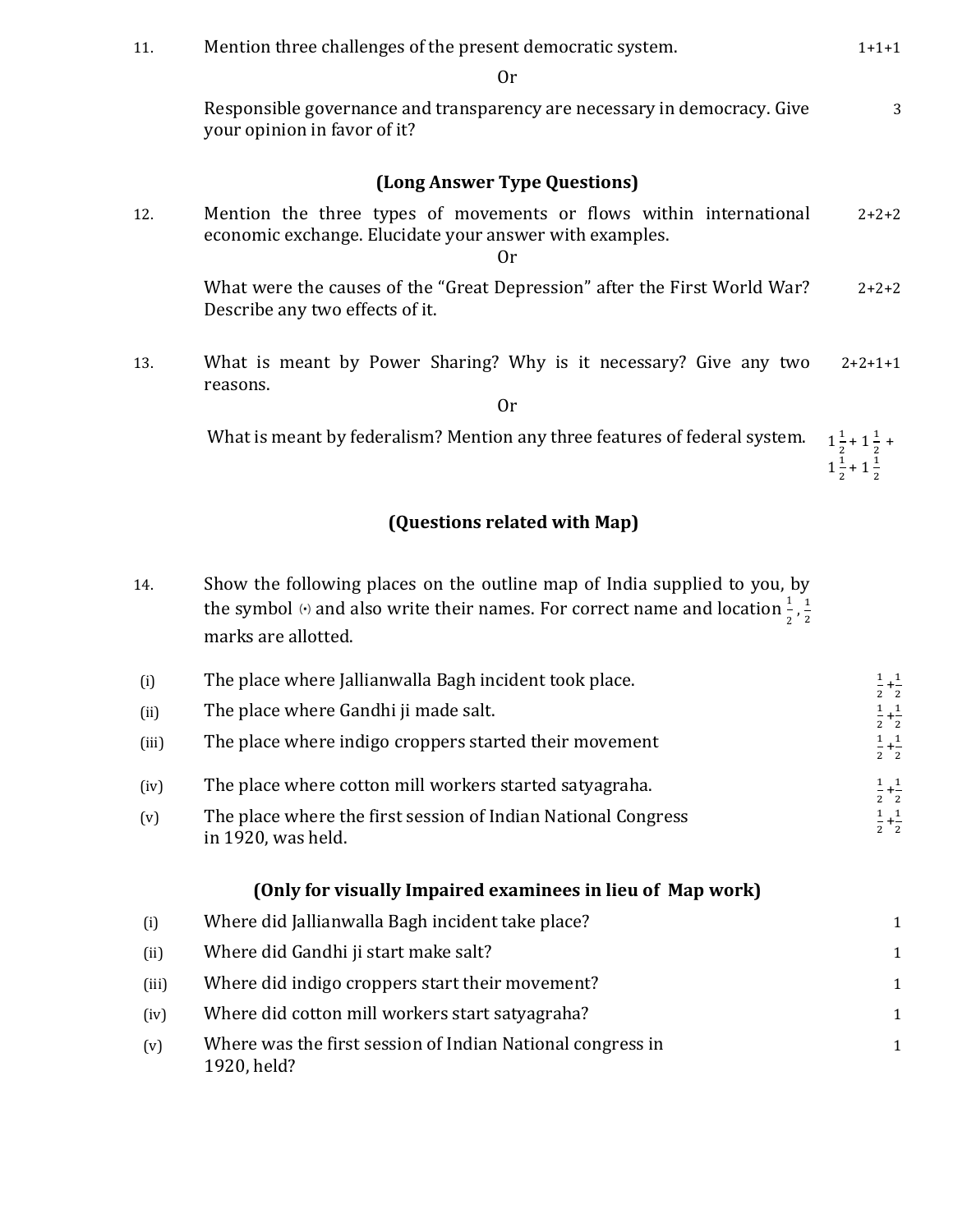| 11.   | Mention three challenges of the present democratic system.                                                                                                                                                      | $1 + 1 + 1$                                                          |
|-------|-----------------------------------------------------------------------------------------------------------------------------------------------------------------------------------------------------------------|----------------------------------------------------------------------|
|       | 0r<br>Responsible governance and transparency are necessary in democracy. Give<br>your opinion in favor of it?                                                                                                  | 3                                                                    |
|       | (Long Answer Type Questions)                                                                                                                                                                                    |                                                                      |
| 12.   | Mention the three types of movements or flows within international<br>economic exchange. Elucidate your answer with examples.<br>0r                                                                             | $2 + 2 + 2$                                                          |
|       | What were the causes of the "Great Depression" after the First World War?<br>Describe any two effects of it.                                                                                                    | $2 + 2 + 2$                                                          |
| 13.   | What is meant by Power Sharing? Why is it necessary? Give any two<br>reasons.<br>0r                                                                                                                             | $2+2+1+1$                                                            |
|       | What is meant by federalism? Mention any three features of federal system.                                                                                                                                      | $1\frac{1}{2}$ + $1\frac{1}{2}$ +<br>$1\frac{1}{2}$ + $1\frac{1}{2}$ |
|       | (Questions related with Map)                                                                                                                                                                                    |                                                                      |
| 14.   | Show the following places on the outline map of India supplied to you, by<br>the symbol $\Theta$ and also write their names. For correct name and location $\frac{1}{2}$ , $\frac{1}{2}$<br>marks are allotted. |                                                                      |
| (i)   | The place where Jallianwalla Bagh incident took place.                                                                                                                                                          |                                                                      |
| (ii)  | The place where Gandhi ji made salt.                                                                                                                                                                            | $\frac{1}{2} + \frac{1}{2}$<br>$\frac{1}{2} + \frac{1}{2}$           |
| (iii) | The place where indigo croppers started their movement                                                                                                                                                          | $\frac{1}{2} + \frac{1}{2}$                                          |
| (iv)  | The place where cotton mill workers started satyagraha.                                                                                                                                                         | $\frac{1}{2} + \frac{1}{2}$                                          |

(v) The place where the first session of Indian National Congress in 1920, was held.

# (Only for visually Impaired examinees in lieu of Map work)

 $\mathbf 1$  $\frac{1}{2} + \frac{1}{2}$ ଶ

| (i)   | Where did Jallianwalla Bagh incident take place?                          | 1            |
|-------|---------------------------------------------------------------------------|--------------|
| (ii)  | Where did Gandhi ji start make salt?                                      | $\mathbf{1}$ |
| (iii) | Where did indigo croppers start their movement?                           | $\mathbf{1}$ |
| (iv)  | Where did cotton mill workers start satyagraha?                           | 1            |
| (v)   | Where was the first session of Indian National congress in<br>1920, held? | 1            |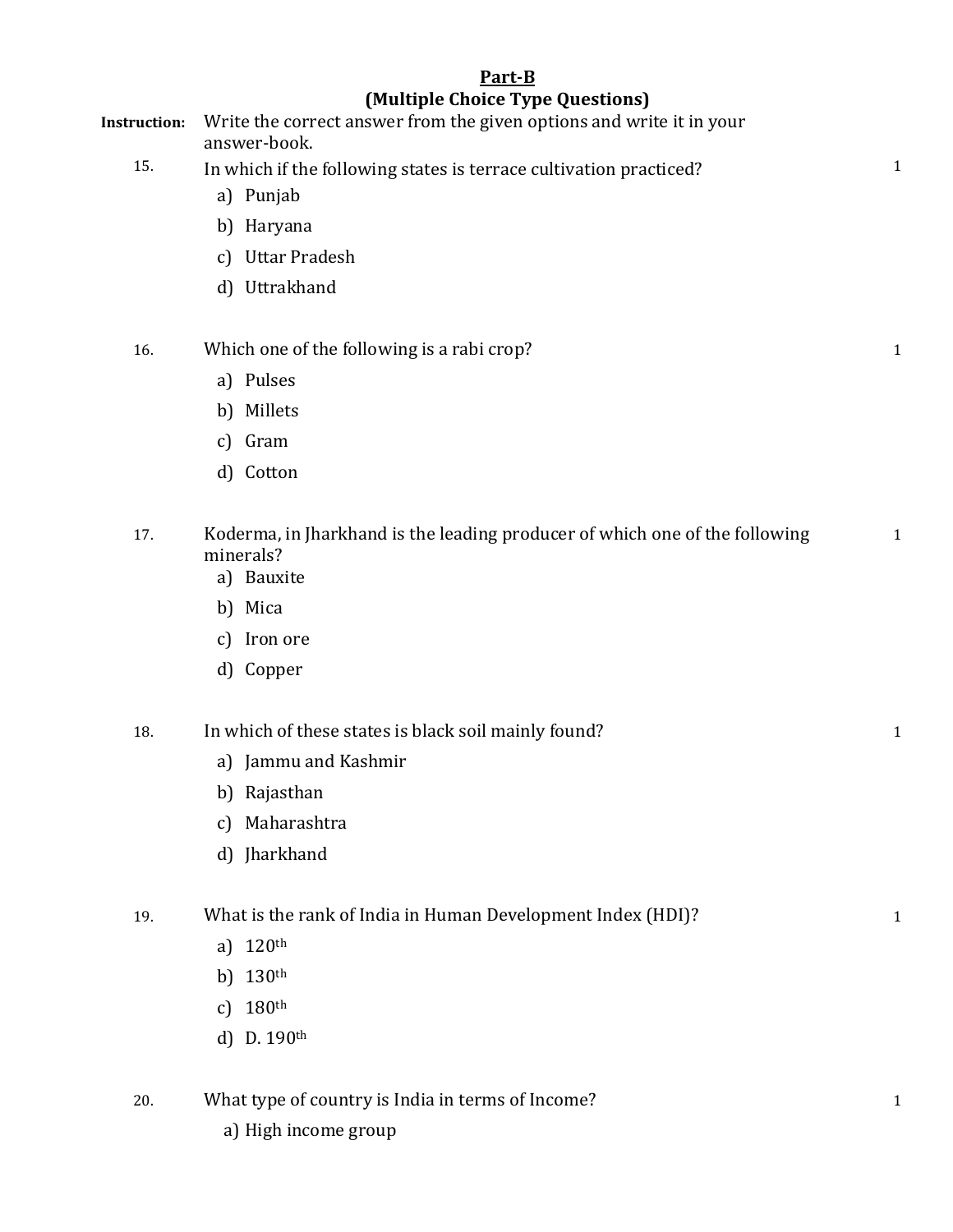## Part-B (Multiple Choice Type Questions)

| <b>Instruction:</b> | (Multiple Choice Type Questions)<br>Write the correct answer from the given options and write it in your<br>answer-book. |              |  |
|---------------------|--------------------------------------------------------------------------------------------------------------------------|--------------|--|
| 15.                 | In which if the following states is terrace cultivation practiced?                                                       | $\mathbf{1}$ |  |
|                     | a) Punjab                                                                                                                |              |  |
|                     | b) Haryana                                                                                                               |              |  |
|                     | c) Uttar Pradesh                                                                                                         |              |  |
|                     | d) Uttrakhand                                                                                                            |              |  |
| 16.                 | Which one of the following is a rabi crop?                                                                               | $\mathbf{1}$ |  |
|                     | a) Pulses                                                                                                                |              |  |
|                     | b) Millets                                                                                                               |              |  |
|                     | c) Gram                                                                                                                  |              |  |
|                     | d) Cotton                                                                                                                |              |  |
| 17.                 | Koderma, in Jharkhand is the leading producer of which one of the following<br>minerals?<br>a) Bauxite                   | $\mathbf{1}$ |  |
|                     | b) Mica                                                                                                                  |              |  |
|                     | c) Iron ore                                                                                                              |              |  |
|                     | d) Copper                                                                                                                |              |  |
| 18.                 | In which of these states is black soil mainly found?                                                                     | $\mathbf{1}$ |  |
|                     | a) Jammu and Kashmir                                                                                                     |              |  |
|                     | b) Rajasthan                                                                                                             |              |  |
|                     | c) Maharashtra                                                                                                           |              |  |
|                     | d) Jharkhand                                                                                                             |              |  |
| 19.                 | What is the rank of India in Human Development Index (HDI)?                                                              | $\mathbf{1}$ |  |
|                     | a) $120^{th}$                                                                                                            |              |  |
|                     | b) $130^{th}$                                                                                                            |              |  |
|                     | 180 <sup>th</sup><br>$\mathbf{c}$ )                                                                                      |              |  |
|                     | d) D. 190th                                                                                                              |              |  |
| 20.                 | What type of country is India in terms of Income?                                                                        | $\mathbf{1}$ |  |
|                     | a) High income group                                                                                                     |              |  |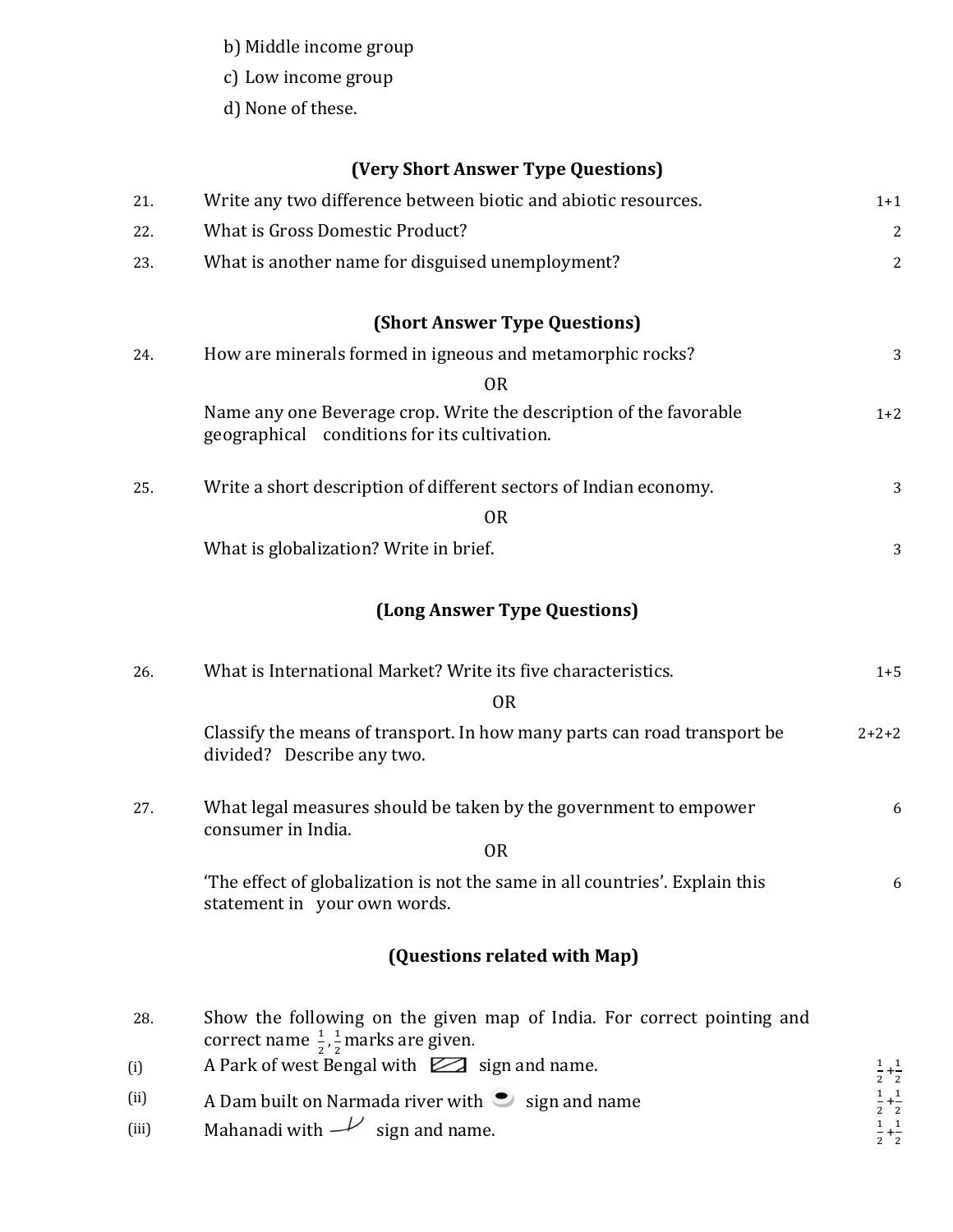|  | b) Middle income group |  |
|--|------------------------|--|

- c) Low income group
- d) None of these.

# (Very Short Answer Type Questions)

| 21.   | Write any two difference between biotic and abiotic resources.                                                                        | $1 + 1$                                                    |
|-------|---------------------------------------------------------------------------------------------------------------------------------------|------------------------------------------------------------|
| 22.   | <b>What is Gross Domestic Product?</b>                                                                                                | 2                                                          |
| 23.   | What is another name for disguised unemployment?                                                                                      | $\overline{2}$                                             |
|       | (Short Answer Type Questions)                                                                                                         |                                                            |
| 24.   | How are minerals formed in igneous and metamorphic rocks?                                                                             | 3                                                          |
|       | <b>OR</b>                                                                                                                             |                                                            |
|       | Name any one Beverage crop. Write the description of the favorable<br>geographical conditions for its cultivation.                    | $1 + 2$                                                    |
| 25.   | Write a short description of different sectors of Indian economy.                                                                     | 3                                                          |
|       | <b>OR</b>                                                                                                                             |                                                            |
|       | What is globalization? Write in brief.                                                                                                | 3                                                          |
|       | (Long Answer Type Questions)                                                                                                          |                                                            |
| 26.   | What is International Market? Write its five characteristics.                                                                         | $1 + 5$                                                    |
|       | <b>OR</b>                                                                                                                             |                                                            |
|       | Classify the means of transport. In how many parts can road transport be<br>divided? Describe any two.                                | $2 + 2 + 2$                                                |
| 27.   | What legal measures should be taken by the government to empower<br>consumer in India.<br><b>OR</b>                                   | 6                                                          |
|       | 'The effect of globalization is not the same in all countries'. Explain this<br>statement in your own words.                          | 6                                                          |
|       | (Questions related with Map)                                                                                                          |                                                            |
| 28.   | Show the following on the given map of India. For correct pointing and<br>correct name $\frac{1}{2}$ , $\frac{1}{2}$ marks are given. |                                                            |
| (i)   | A Park of west Bengal with $\Box$ sign and name.                                                                                      |                                                            |
| (ii)  | A Dam built on Narmada river with S sign and name                                                                                     |                                                            |
| (iii) | Mahanadi with $-\sqrt{\frac{1}{\pi}}$ sign and name.                                                                                  | $\frac{1}{2} + \frac{1}{2}$<br>$\frac{1}{2} + \frac{1}{2}$ |